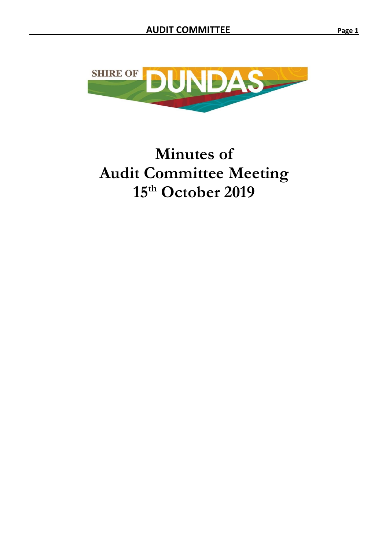

# **Minutes of Audit Committee Meeting 15th October 2019**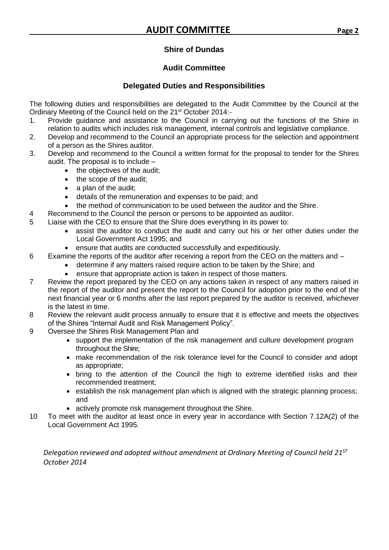# **Shire of Dundas**

# **Audit Committee**

# **Delegated Duties and Responsibilities**

<span id="page-1-0"></span>The following duties and responsibilities are delegated to the Audit Committee by the Council at the Ordinary Meeting of the Council held on the 21st October 2014:-

- 1. Provide guidance and assistance to the Council in carrying out the functions of the Shire in relation to audits which includes risk management, internal controls and legislative compliance.
- 2. Develop and recommend to the Council an appropriate process for the selection and appointment of a person as the Shires auditor.
- 3. Develop and recommend to the Council a written format for the proposal to tender for the Shires audit. The proposal is to include –
	- the objectives of the audit:
	- the scope of the audit;
	- a plan of the audit;
	- details of the remuneration and expenses to be paid; and
	- the method of communication to be used between the auditor and the Shire.
- 4 Recommend to the Council the person or persons to be appointed as auditor.
- 5 Liaise with the CEO to ensure that the Shire does everything in its power to:
	- assist the auditor to conduct the audit and carry out his or her other duties under the Local Government Act 1995; and
	- ensure that audits are conducted successfully and expeditiously.
- 6 Examine the reports of the auditor after receiving a report from the CEO on the matters and
	- determine if any matters raised require action to be taken by the Shire; and
	- ensure that appropriate action is taken in respect of those matters.
- 7 Review the report prepared by the CEO on any actions taken in respect of any matters raised in the report of the auditor and present the report to the Council for adoption prior to the end of the next financial year or 6 months after the last report prepared by the auditor is received, whichever is the latest in time.
- 8 Review the relevant audit process annually to ensure that it is effective and meets the objectives of the Shires "Internal Audit and Risk Management Policy".
- 9 Oversee the Shires Risk Management Plan and
	- support the implementation of the risk management and culture development program throughout the Shire;
	- make recommendation of the risk tolerance level for the Council to consider and adopt as appropriate;
	- bring to the attention of the Council the high to extreme identified risks and their recommended treatment;
	- establish the risk management plan which is aligned with the strategic planning process; and
	- actively promote risk management throughout the Shire.
- 10 To meet with the auditor at least once in every year in accordance with Section 7.12A(2) of the Local Government Act 1995.

*Delegation reviewed and adopted without amendment at Ordinary Meeting of Council held 21ST October 2014*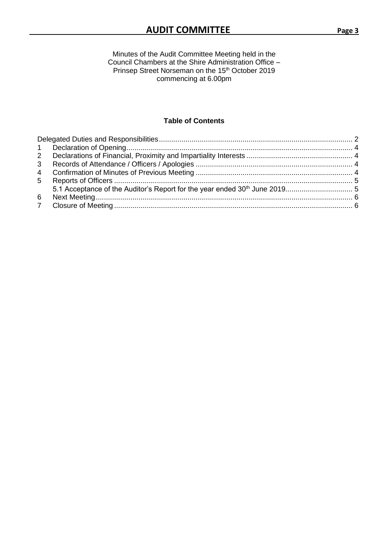Minutes of the Audit Committee Meeting held in the Council Chambers at the Shire Administration Office – Prinsep Street Norseman on the 15<sup>th</sup> October 2019 commencing at 6.00pm

## **Table of Contents**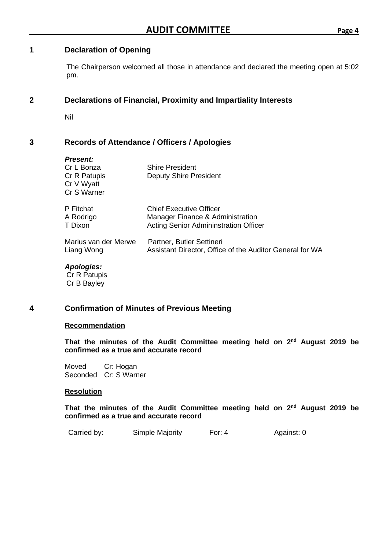# <span id="page-3-0"></span>**1 Declaration of Opening**

The Chairperson welcomed all those in attendance and declared the meeting open at 5:02 pm.

# <span id="page-3-1"></span>**2 Declarations of Financial, Proximity and Impartiality Interests**

Nil

# <span id="page-3-2"></span>**3 Records of Attendance / Officers / Apologies**

# *Present:* Cr L Bonza Shire President Cr R Patupis **Deputy Shire President** Cr V Wyatt Cr S Warner P Fitchat Chief Executive Officer A Rodrigo **Manager Finance & Administration**<br>T Dixon **Manager Finance & Administration** Offic Acting Senior Admininstration Officer Marius van der Merwe Partner, Butler Settineri Liang Wong Assistant Director, Office of the Auditor General for WA

*Apologies:* Cr R Patupis Cr B Bayley

# <span id="page-3-3"></span>**4 Confirmation of Minutes of Previous Meeting**

#### **Recommendation**

That the minutes of the Audit Committee meeting held on 2<sup>nd</sup> August 2019 be **confirmed as a true and accurate record**

Moved Cr: Hogan Seconded Cr: S Warner

#### **Resolution**

That the minutes of the Audit Committee meeting held on 2<sup>nd</sup> August 2019 be **confirmed as a true and accurate record**

| Carried by: | Simple Majority | For: $4$ | Against: 0 |
|-------------|-----------------|----------|------------|
|-------------|-----------------|----------|------------|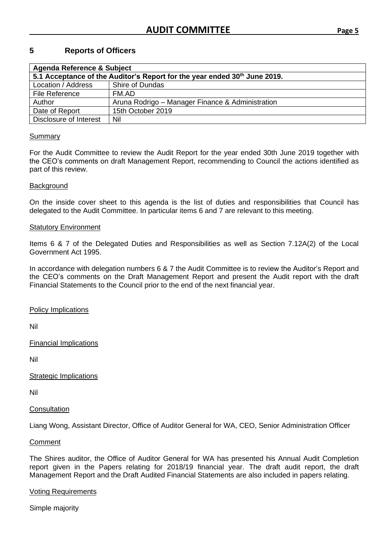# <span id="page-4-0"></span>**5 Reports of Officers**

<span id="page-4-1"></span>

| <b>Agenda Reference &amp; Subject</b>                                     |                                                  |  |  |  |  |
|---------------------------------------------------------------------------|--------------------------------------------------|--|--|--|--|
| 5.1 Acceptance of the Auditor's Report for the year ended 30th June 2019. |                                                  |  |  |  |  |
| Location / Address                                                        | Shire of Dundas                                  |  |  |  |  |
| File Reference                                                            | FM.AD                                            |  |  |  |  |
| Author                                                                    | Aruna Rodrigo - Manager Finance & Administration |  |  |  |  |
| Date of Report                                                            | 15th October 2019                                |  |  |  |  |
| Disclosure of Interest                                                    | Nil                                              |  |  |  |  |

#### **Summary**

For the Audit Committee to review the Audit Report for the year ended 30th June 2019 together with the CEO's comments on draft Management Report, recommending to Council the actions identified as part of this review.

#### **Background**

On the inside cover sheet to this agenda is the list of duties and responsibilities that Council has delegated to the Audit Committee. In particular items 6 and 7 are relevant to this meeting.

#### Statutory Environment

Items 6 & 7 of the Delegated Duties and Responsibilities as well as Section 7.12A(2) of the Local Government Act 1995.

In accordance with delegation numbers 6 & 7 the Audit Committee is to review the Auditor's Report and the CEO's comments on the Draft Management Report and present the Audit report with the draft Financial Statements to the Council prior to the end of the next financial year.

Policy Implications

Nil

Financial Implications

Nil

Strategic Implications

Nil

#### **Consultation**

Liang Wong, Assistant Director, Office of Auditor General for WA, CEO, Senior Administration Officer

#### Comment

The Shires auditor, the Office of Auditor General for WA has presented his Annual Audit Completion report given in the Papers relating for 2018/19 financial year. The draft audit report, the draft Management Report and the Draft Audited Financial Statements are also included in papers relating.

#### Voting Requirements

Simple majority